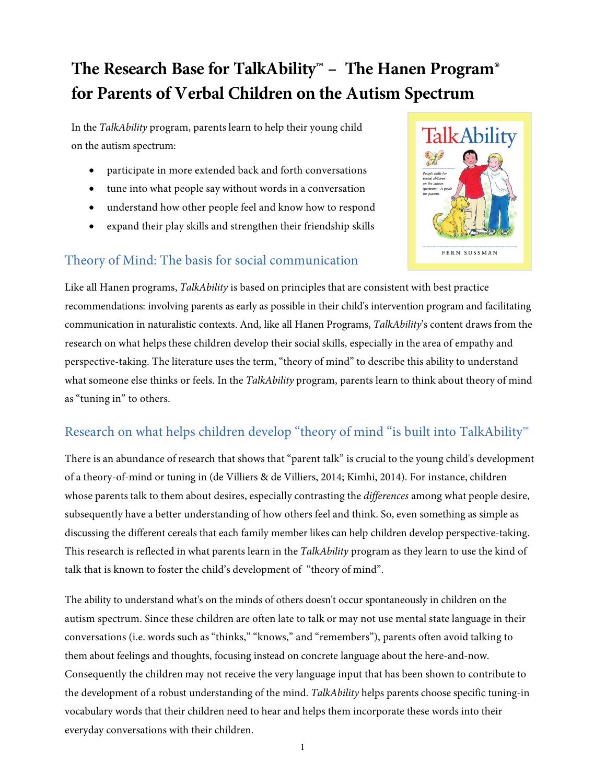# **The Research Base for TalkAbility**™ **– The Hanen Program**® **for Parents of Verbal Children on the Autism Spectrum**

In the *TalkAbility* program, parents learn to help their young child on the autism spectrum:

- participate in more extended back and forth conversations
- tune into what people say without words in a conversation
- understand how other people feel and know how to respond
- expand their play skills and strengthen their friendship skills

#### Theory of Mind: The basis for social communication



Like all Hanen programs, *TalkAbility* is based on principles that are consistent with best practice recommendations: involving parents as early as possible in their child's intervention program and facilitating communication in naturalistic contexts. And, like all Hanen Programs, *TalkAbility*'s content draws from the research on what helps these children develop their social skills, especially in the area of empathy and perspective-taking. The literature uses the term, "theory of mind" to describe this ability to understand what someone else thinks or feels. In the *TalkAbility* program, parents learn to think about theory of mind as "tuning in" to others.

### Research on what helps children develop "theory of mind "is built into TalkAbility™

There is an abundance of research that shows that "parent talk" is crucial to the young child's development of a theory-of-mind or tuning in (de Villiers & de Villiers, 2014; Kimhi, 2014). For instance, children whose parents talk to them about desires, especially contrasting the *differences* among what people desire, subsequently have a better understanding of how others feel and think. So, even something as simple as discussing the different cereals that each family member likes can help children develop perspective-taking. This research is reflected in what parents learn in the *TalkAbility* program as they learn to use the kind of talk that is known to foster the child's development of "theory of mind".

The ability to understand what's on the minds of others doesn't occur spontaneously in children on the autism spectrum. Since these children are often late to talk or may not use mental state language in their conversations (i.e. words such as "thinks," "knows," and "remembers"), parents often avoid talking to them about feelings and thoughts, focusing instead on concrete language about the here-and-now. Consequently the children may not receive the very language input that has been shown to contribute to the development of a robust understanding of the mind. *TalkAbility* helps parents choose specific tuning-in vocabulary words that their children need to hear and helps them incorporate these words into their everyday conversations with their children.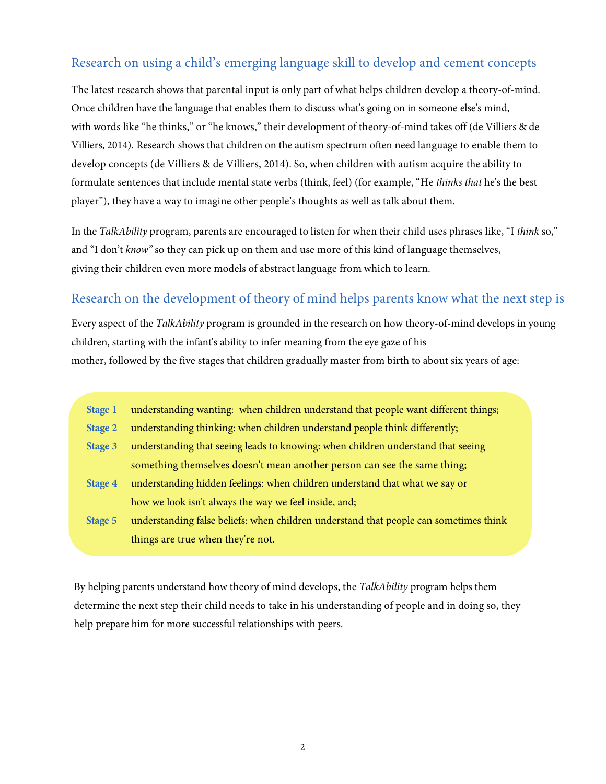#### Research on using a child's emerging language skill to develop and cement concepts

The latest research shows that parental input is only part of what helps children develop a theory-of-mind. Once children have the language that enables them to discuss what's going on in someone else's mind, with words like "he thinks," or "he knows," their development of theory-of-mind takes off (de Villiers & de Villiers, 2014). Research shows that children on the autism spectrum often need language to enable them to develop concepts (de Villiers & de Villiers, 2014). So, when children with autism acquire the ability to formulate sentences that include mental state verbs (think, feel) (for example, "He *thinks that* he's the best player"), they have a way to imagine other people's thoughts as well as talk about them.

In the *TalkAbility* program, parents are encouraged to listen for when their child uses phrases like, "I *think* so," and "I don't *know"* so they can pick up on them and use more of this kind of language themselves, giving their children even more models of abstract language from which to learn.

#### Research on the development of theory of mind helps parents know what the next step is

Every aspect of the *TalkAbility* program is grounded in the research on how theory-of-mind develops in young children, starting with the infant's ability to infer meaning from the eye gaze of his mother, followed by the five stages that children gradually master from birth to about six years of age:

**Stage 1** understanding wanting: when children understand that people want different things;

**Stage 2** understanding thinking: when children understand people think differently;

- **Stage 3** understanding that seeing leads to knowing: when children understand that seeing something themselves doesn't mean another person can see the same thing;
- **Stage 4** understanding hidden feelings: when children understand that what we say or how we look isn't always the way we feel inside, and;
- **Stage 5** understanding false beliefs: when children understand that people can sometimes think things are true when they're not.

By helping parents understand how theory of mind develops, the *TalkAbility* program helps them determine the next step their child needs to take in his understanding of people and in doing so, they help prepare him for more successful relationships with peers.